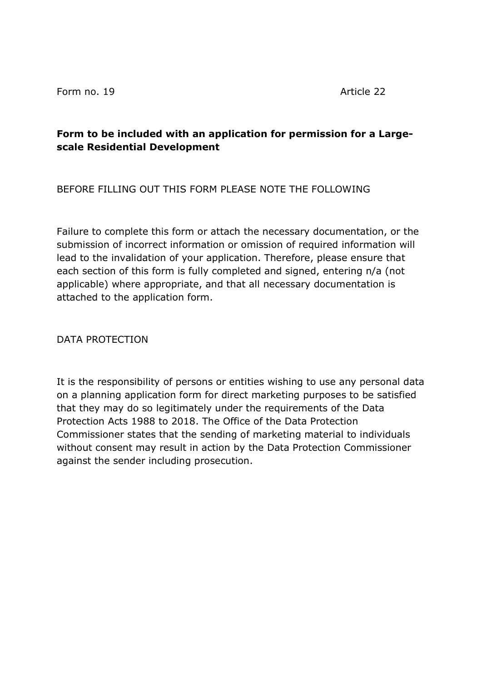## Form to be included with an application for permission for a Largescale Residential Development

## BEFORE FILLING OUT THIS FORM PLEASE NOTE THE FOLLOWING

Failure to complete this form or attach the necessary documentation, or the submission of incorrect information or omission of required information will lead to the invalidation of your application. Therefore, please ensure that each section of this form is fully completed and signed, entering n/a (not applicable) where appropriate, and that all necessary documentation is attached to the application form.

DATA PROTECTION

It is the responsibility of persons or entities wishing to use any personal data on a planning application form for direct marketing purposes to be satisfied that they may do so legitimately under the requirements of the Data Protection Acts 1988 to 2018. The Office of the Data Protection Commissioner states that the sending of marketing material to individuals without consent may result in action by the Data Protection Commissioner against the sender including prosecution.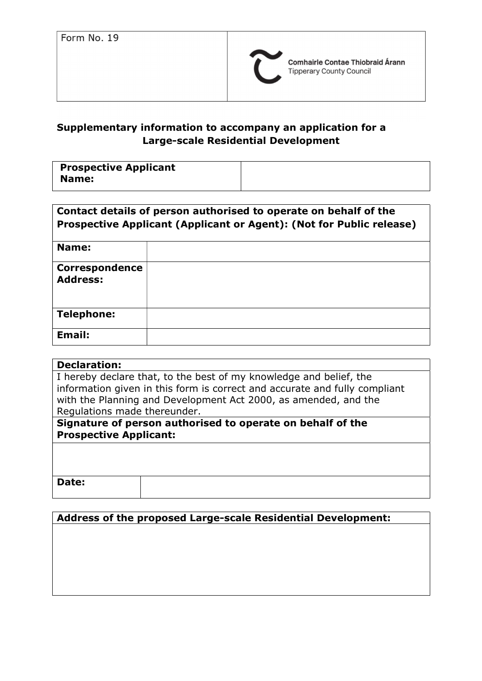

**Comhairle Contae Thiobraid Árann Tipperary County Council** 

# Supplementary information to accompany an application for a Large-scale Residential Development

 Prospective Applicant Name:

| Contact details of person authorised to operate on behalf of the<br>Prospective Applicant (Applicant or Agent): (Not for Public release) |  |  |
|------------------------------------------------------------------------------------------------------------------------------------------|--|--|
| Name:                                                                                                                                    |  |  |
| <b>Correspondence</b><br><b>Address:</b>                                                                                                 |  |  |
| Telephone:                                                                                                                               |  |  |
| Email:                                                                                                                                   |  |  |

| <b>Declaration:</b>                                                |                                                                            |
|--------------------------------------------------------------------|----------------------------------------------------------------------------|
| I hereby declare that, to the best of my knowledge and belief, the |                                                                            |
|                                                                    | information given in this form is correct and accurate and fully compliant |
| with the Planning and Development Act 2000, as amended, and the    |                                                                            |
| Regulations made thereunder.                                       |                                                                            |
| Signature of person authorised to operate on behalf of the         |                                                                            |
| <b>Prospective Applicant:</b>                                      |                                                                            |
|                                                                    |                                                                            |
|                                                                    |                                                                            |
|                                                                    |                                                                            |
|                                                                    |                                                                            |
| Date:                                                              |                                                                            |

### Address of the proposed Large-scale Residential Development: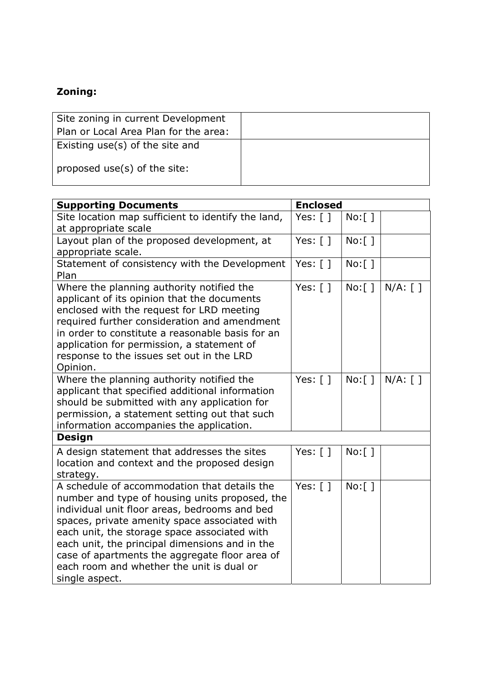# Zoning:

| Site zoning in current Development    |  |
|---------------------------------------|--|
| Plan or Local Area Plan for the area: |  |
| Existing use(s) of the site and       |  |
|                                       |  |
| proposed use(s) of the site:          |  |
|                                       |  |

| <b>Supporting Documents</b>                                                                                                                                                                                                                                                                                                                                                                                         | <b>Enclosed</b>            |                         |            |
|---------------------------------------------------------------------------------------------------------------------------------------------------------------------------------------------------------------------------------------------------------------------------------------------------------------------------------------------------------------------------------------------------------------------|----------------------------|-------------------------|------------|
| Site location map sufficient to identify the land,                                                                                                                                                                                                                                                                                                                                                                  | Yes: $\lceil \rceil$       | No: [ ]                 |            |
| at appropriate scale                                                                                                                                                                                                                                                                                                                                                                                                |                            |                         |            |
| Layout plan of the proposed development, at                                                                                                                                                                                                                                                                                                                                                                         | Yes: $[ ]$                 | $No:$ $\lceil$ $\rceil$ |            |
| appropriate scale.                                                                                                                                                                                                                                                                                                                                                                                                  |                            |                         |            |
| Statement of consistency with the Development<br>Plan                                                                                                                                                                                                                                                                                                                                                               | Yes: $[ ]$                 | $No:$ $\lceil$ $\rceil$ |            |
| Where the planning authority notified the<br>applicant of its opinion that the documents<br>enclosed with the request for LRD meeting<br>required further consideration and amendment<br>in order to constitute a reasonable basis for an<br>application for permission, a statement of<br>response to the issues set out in the LRD<br>Opinion.                                                                    | Yes: $\lceil \rceil$       | $No:$ $\lceil$ $\rceil$ | $N/A:$ [ ] |
| Where the planning authority notified the<br>applicant that specified additional information<br>should be submitted with any application for<br>permission, a statement setting out that such<br>information accompanies the application.                                                                                                                                                                           | Yes: $\lceil \cdot \rceil$ | $No:$ $\lceil$ $\rceil$ | $N/A$ : [] |
| <b>Design</b>                                                                                                                                                                                                                                                                                                                                                                                                       |                            |                         |            |
| A design statement that addresses the sites<br>location and context and the proposed design<br>strategy.                                                                                                                                                                                                                                                                                                            | Yes: $\lceil \; \rceil$    | No: [ ]                 |            |
| A schedule of accommodation that details the<br>number and type of housing units proposed, the<br>individual unit floor areas, bedrooms and bed<br>spaces, private amenity space associated with<br>each unit, the storage space associated with<br>each unit, the principal dimensions and in the<br>case of apartments the aggregate floor area of<br>each room and whether the unit is dual or<br>single aspect. | Yes: $\lceil \; \rceil$    | No: [ ]                 |            |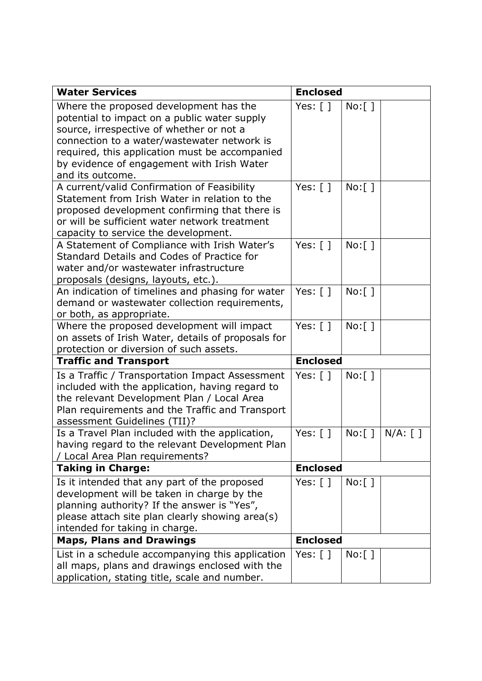| <b>Water Services</b>                                                                                                                                                                                                                                                                                 | <b>Enclosed</b>            |                         |            |
|-------------------------------------------------------------------------------------------------------------------------------------------------------------------------------------------------------------------------------------------------------------------------------------------------------|----------------------------|-------------------------|------------|
| Where the proposed development has the<br>potential to impact on a public water supply<br>source, irrespective of whether or not a<br>connection to a water/wastewater network is<br>required, this application must be accompanied<br>by evidence of engagement with Irish Water<br>and its outcome. | Yes: $\lceil \rceil$       | $No:$ $\lceil$ $\rceil$ |            |
| A current/valid Confirmation of Feasibility<br>Statement from Irish Water in relation to the<br>proposed development confirming that there is<br>or will be sufficient water network treatment<br>capacity to service the development.                                                                | Yes: $[ ]$                 | $No:$ [ ]               |            |
| A Statement of Compliance with Irish Water's<br>Standard Details and Codes of Practice for<br>water and/or wastewater infrastructure<br>proposals (designs, layouts, etc.).                                                                                                                           | Yes: $[ ]$                 | $No:$ [ ]               |            |
| An indication of timelines and phasing for water<br>demand or wastewater collection requirements,<br>or both, as appropriate.                                                                                                                                                                         | Yes: $\lceil \cdot \rceil$ | $No:$ [ ]               |            |
| Where the proposed development will impact<br>on assets of Irish Water, details of proposals for<br>protection or diversion of such assets.                                                                                                                                                           | Yes: $[ ]$                 | $No:$ [ ]               |            |
| <b>Traffic and Transport</b>                                                                                                                                                                                                                                                                          | <b>Enclosed</b>            |                         |            |
| Is a Traffic / Transportation Impact Assessment<br>included with the application, having regard to<br>the relevant Development Plan / Local Area<br>Plan requirements and the Traffic and Transport<br>assessment Guidelines (TII)?                                                                   | Yes: $\lceil \; \rceil$    | $No:$ [ $]$             |            |
| Is a Travel Plan included with the application,<br>having regard to the relevant Development Plan<br>/ Local Area Plan requirements?                                                                                                                                                                  | Yes: $\lceil \rceil$       | $No:$ $\lceil$ $\rceil$ | $N/A:$ [ ] |
| <b>Taking in Charge:</b>                                                                                                                                                                                                                                                                              | <b>Enclosed</b>            |                         |            |
| Is it intended that any part of the proposed<br>development will be taken in charge by the<br>planning authority? If the answer is "Yes",<br>please attach site plan clearly showing area(s)<br>intended for taking in charge.                                                                        | Yes: $\lceil \rceil$       | $No:$ $\lceil$ $\rceil$ |            |
| <b>Maps, Plans and Drawings</b>                                                                                                                                                                                                                                                                       | <b>Enclosed</b>            |                         |            |
| List in a schedule accompanying this application<br>all maps, plans and drawings enclosed with the<br>application, stating title, scale and number.                                                                                                                                                   | Yes: $\lceil \cdot \rceil$ | No: [ ]                 |            |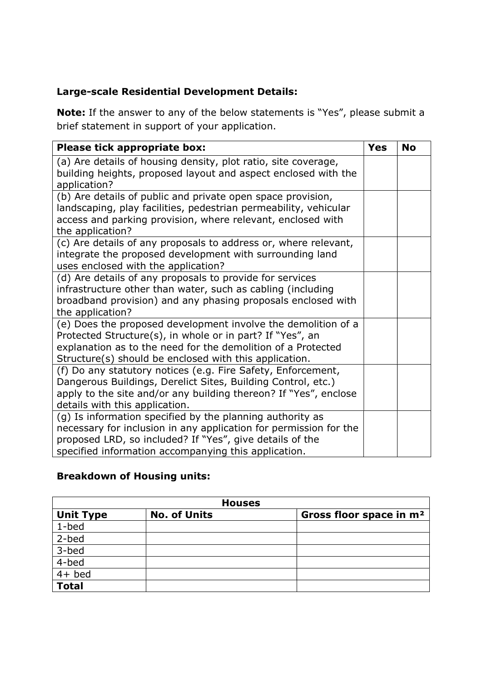## Large-scale Residential Development Details:

Note: If the answer to any of the below statements is "Yes", please submit a brief statement in support of your application.

| Please tick appropriate box:                                                                                                                                                                                                                         | <b>Yes</b> | <b>No</b> |
|------------------------------------------------------------------------------------------------------------------------------------------------------------------------------------------------------------------------------------------------------|------------|-----------|
| (a) Are details of housing density, plot ratio, site coverage,<br>building heights, proposed layout and aspect enclosed with the<br>application?                                                                                                     |            |           |
| (b) Are details of public and private open space provision,<br>landscaping, play facilities, pedestrian permeability, vehicular<br>access and parking provision, where relevant, enclosed with<br>the application?                                   |            |           |
| (c) Are details of any proposals to address or, where relevant,<br>integrate the proposed development with surrounding land<br>uses enclosed with the application?                                                                                   |            |           |
| (d) Are details of any proposals to provide for services<br>infrastructure other than water, such as cabling (including<br>broadband provision) and any phasing proposals enclosed with<br>the application?                                          |            |           |
| (e) Does the proposed development involve the demolition of a<br>Protected Structure(s), in whole or in part? If "Yes", an<br>explanation as to the need for the demolition of a Protected<br>Structure(s) should be enclosed with this application. |            |           |
| (f) Do any statutory notices (e.g. Fire Safety, Enforcement,<br>Dangerous Buildings, Derelict Sites, Building Control, etc.)<br>apply to the site and/or any building thereon? If "Yes", enclose<br>details with this application.                   |            |           |
| (g) Is information specified by the planning authority as<br>necessary for inclusion in any application for permission for the<br>proposed LRD, so included? If "Yes", give details of the<br>specified information accompanying this application.   |            |           |

# Breakdown of Housing units:

| <b>Houses</b>    |                     |                                     |  |
|------------------|---------------------|-------------------------------------|--|
| <b>Unit Type</b> | <b>No. of Units</b> | Gross floor space in m <sup>2</sup> |  |
| 1-bed            |                     |                                     |  |
| 2-bed            |                     |                                     |  |
| 3-bed            |                     |                                     |  |
| 4-bed            |                     |                                     |  |
| $4+$ bed         |                     |                                     |  |
| <b>Total</b>     |                     |                                     |  |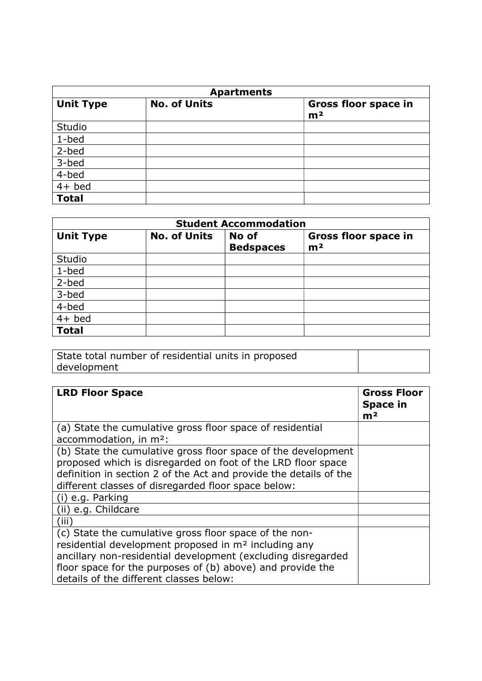| <b>Apartments</b> |                     |                                        |
|-------------------|---------------------|----------------------------------------|
| <b>Unit Type</b>  | <b>No. of Units</b> | Gross floor space in<br>m <sup>2</sup> |
| Studio            |                     |                                        |
| $1$ -bed          |                     |                                        |
| 2-bed             |                     |                                        |
| 3-bed             |                     |                                        |
| 4-bed             |                     |                                        |
| $4+$ bed          |                     |                                        |
| <b>Total</b>      |                     |                                        |

| <b>Student Accommodation</b> |                     |                           |                                        |  |
|------------------------------|---------------------|---------------------------|----------------------------------------|--|
| <b>Unit Type</b>             | <b>No. of Units</b> | No of<br><b>Bedspaces</b> | Gross floor space in<br>m <sup>2</sup> |  |
| Studio                       |                     |                           |                                        |  |
| $1$ -bed                     |                     |                           |                                        |  |
| 2-bed                        |                     |                           |                                        |  |
| 3-bed                        |                     |                           |                                        |  |
| 4-bed                        |                     |                           |                                        |  |
| $4+$ bed                     |                     |                           |                                        |  |
| <b>Total</b>                 |                     |                           |                                        |  |

| State total number of residential units in proposed |  |
|-----------------------------------------------------|--|
| development                                         |  |

| <b>LRD Floor Space</b>                                                                                                                                                                                                                                                                              | <b>Gross Floor</b><br><b>Space in</b><br>m <sup>2</sup> |
|-----------------------------------------------------------------------------------------------------------------------------------------------------------------------------------------------------------------------------------------------------------------------------------------------------|---------------------------------------------------------|
| (a) State the cumulative gross floor space of residential<br>accommodation, in m <sup>2</sup> :                                                                                                                                                                                                     |                                                         |
| (b) State the cumulative gross floor space of the development<br>proposed which is disregarded on foot of the LRD floor space<br>definition in section 2 of the Act and provide the details of the<br>different classes of disregarded floor space below:                                           |                                                         |
| (i) e.g. Parking                                                                                                                                                                                                                                                                                    |                                                         |
| (ii) e.g. Childcare                                                                                                                                                                                                                                                                                 |                                                         |
| (iii)                                                                                                                                                                                                                                                                                               |                                                         |
| (c) State the cumulative gross floor space of the non-<br>residential development proposed in m <sup>2</sup> including any<br>ancillary non-residential development (excluding disregarded<br>floor space for the purposes of (b) above) and provide the<br>details of the different classes below: |                                                         |